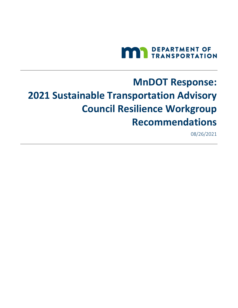

# **MnDOT Response: 2021 Sustainable Transportation Advisory Council Resilience Workgroup Recommendations**

08/26/2021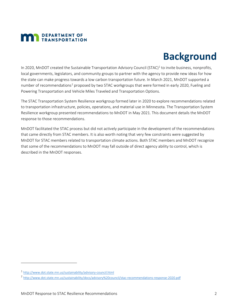## **MAN** DEPARTMENT OF

## **Background**

In 2020, MnDOT created the Sustainable Transportation Advisory Council (STAC)<sup>[1](#page-1-0)</sup> to invite business, nonprofits, local governments, legislators, and community groups to partner with the agency to provide new ideas for how the state can make progress towards a low carbon transportation future. In March 2021, MnDOT supported a number of recommendations<sup>[2](#page-1-1)</sup> proposed by two STAC workgroups that were formed in early 2020, Fueling and Powering Transportation and Vehicle Miles Traveled and Transportation Options.

The STAC Transportation System Resilience workgroup formed later in 2020 to explore recommendations related to transportation infrastructure, policies, operations, and material use in Minnesota. The Transportation System Resilience workgroup presented recommendations to MnDOT in May 2021. This document details the MnDOT response to those recommendations.

MnDOT facilitated the STAC process but did not actively participate in the development of the recommendations that came directly from STAC members. It is also worth noting that very few constraints were suggested by MnDOT for STAC members related to transportation climate actions. Both STAC members and MnDOT recognize that some of the recommendations to MnDOT may fall outside of direct agency ability to control, which is described in the MnDOT responses.

<span id="page-1-0"></span><sup>1</sup> <http://www.dot.state.mn.us/sustainability/advisory-council.html>

<span id="page-1-1"></span><sup>2</sup> <http://www.dot.state.mn.us/sustainability/docs/advisory%20council/stac-recommendations-response-2020.pdf>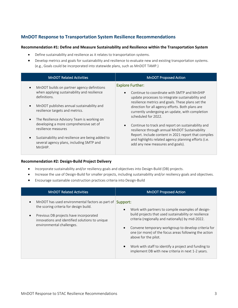## **MnDOT Response to Transportation System Resilience Recommendations**

#### **Recommendation #1: Define and Measure Sustainability and Resilience within the Transportation System**

- Define sustainability and resilience as it relates to transportation systems.
- Develop metrics and goals for sustainability and resilience to evaluate new and existing transportation systems. (e.g., Goals could be incorporated into statewide plans, such as MnDOT TAMP.)

| <b>MnDOT Related Activities</b>                                                                                        | <b>MnDOT Proposed Action</b>                                                                                                                                                                                                                                                       |
|------------------------------------------------------------------------------------------------------------------------|------------------------------------------------------------------------------------------------------------------------------------------------------------------------------------------------------------------------------------------------------------------------------------|
| MnDOT builds on partner agency definitions<br>$\bullet$<br>when applying sustainability and resilience<br>definitions. | <b>Explore Further:</b>                                                                                                                                                                                                                                                            |
|                                                                                                                        | Continue to coordinate with SMTP and MnSHIP<br>update processes to integrate sustainability and<br>resilience metrics and goals. These plans set the<br>direction for all agency efforts. Both plans are<br>currently undergoing an update, with completion<br>scheduled for 2022. |
| MnDOT publishes annual sustainability and<br>$\bullet$<br>resilience targets and metrics.                              |                                                                                                                                                                                                                                                                                    |
| The Resilience Advisory Team is working on<br>$\bullet$                                                                |                                                                                                                                                                                                                                                                                    |
| developing a more comprehensive set of<br>resilience measures                                                          | Continue to track and report on sustainability and<br>resilience through annual MnDOT Sustainability                                                                                                                                                                               |
| Sustainability and resilience are being added to<br>$\bullet$<br>several agency plans, including SMTP and<br>MnSHIP.   | Report. Include content in 2021 report that compiles<br>and highlights related agency planning efforts (i.e.<br>add any new measures and goals).                                                                                                                                   |

#### **Recommendation #2: Design-Build Project Delivery**

- Incorporate sustainability and/or resiliency goals and objectives into Design-Build (DB) projects.
- Increase the use of Design-Build for smaller projects, including sustainability and/or resiliency goals and objectives.
- Encourage sustainable construction practices criteria into Design-Build

| <b>MnDOT Related Activities</b>                                                                                                                                                                                                              | <b>MnDOT Proposed Action</b>                                                                                                                                                                                                                                                                                                                                                                                                                               |
|----------------------------------------------------------------------------------------------------------------------------------------------------------------------------------------------------------------------------------------------|------------------------------------------------------------------------------------------------------------------------------------------------------------------------------------------------------------------------------------------------------------------------------------------------------------------------------------------------------------------------------------------------------------------------------------------------------------|
| MnDOT has used environmental factors as part of<br>$\bullet$<br>the scoring criteria for design build.<br>Previous DB projects have incorporated<br>$\bullet$<br>innovations and identified solutions to unique<br>environmental challenges. | Support:<br>Work with partners to compile examples of design-<br>$\bullet$<br>build projects that used sustainability or resilience<br>criteria (regionally and nationally) by mid-2022.<br>Convene temporary workgroup to develop criteria for<br>one (or more) of the focus areas following the action<br>above for the pilot.<br>Work with staff to identify a project and funding to<br>$\bullet$<br>implement DB with new criteria in next 1-2 years. |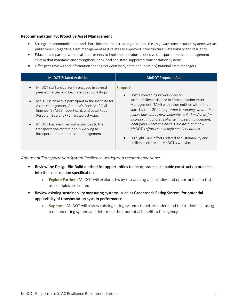#### **Recommendation #3: Proactive Asset Management**

- Strengthen communications and share information across organizations (i.e., highway transportation systems versus public works) regarding asset management as it relates to improved infrastructure sustainability and resiliency.
- Educate and partner with local departments to implement a robust, cohesive transportation asset management system that maintains and strengthens both local and state-supported transportation systems.
- Offer peer reviews and information sharing between local, state and (possibly) national asset managers.

| <b>MnDOT Related Activities</b>                                                                                                                                                                                                                                                                                                                                                                                                                                               | <b>MnDOT Proposed Action</b>                                                                                                                                                                                                                                                                                                                                                                                                                                                                                                                              |
|-------------------------------------------------------------------------------------------------------------------------------------------------------------------------------------------------------------------------------------------------------------------------------------------------------------------------------------------------------------------------------------------------------------------------------------------------------------------------------|-----------------------------------------------------------------------------------------------------------------------------------------------------------------------------------------------------------------------------------------------------------------------------------------------------------------------------------------------------------------------------------------------------------------------------------------------------------------------------------------------------------------------------------------------------------|
| MnDOT staff are currently engaged in several<br>$\bullet$<br>peer exchanges and best practices workshops.<br>MnDOT is an active participant in the Institute for<br>$\bullet$<br>Asset Management, America's Society of Civil<br>Engineer's (ASCE) report card, and Local Road<br>Research Board (LRRB) related activities.<br>MnDOT has identified vulnerabilities to the<br>$\bullet$<br>transportation system and is working to<br>incorporate them into asset management. | Support:<br>Host a convening or workshop on<br>$\bullet$<br>sustainability/resilience in Transportation Asset<br>Management (TAM) with other entities within the<br>state by mid-2022 (e.g., what is working, what other<br>places have done, new innovative solutions/ideas for<br>incorporating more resilience in asset management,<br>identifying where the need is greatest, and how<br>MnDOT's efforts can benefit smaller entities).<br>Highlight TAM efforts related to sustainability and<br>$\bullet$<br>resilience efforts on MnDOT's website. |

*Additional Transportation System Resilience workgroup recommendations:* 

- Review the Design-Bid-Build method for opportunities to incorporate sustainable construction practices into the construction specifications.
	- o Explore Further –MnDOT will explore this by researching case studies and opportunities to test, as examples are limited
- Review existing sustainability measuring systems, such as Greenroads Rating System, for potential applicability of transportation system performance.
	- o Support MnDOT will review existing rating systems to better understand the tradeoffs of using a related rating system and determine their potential benefit to the agency.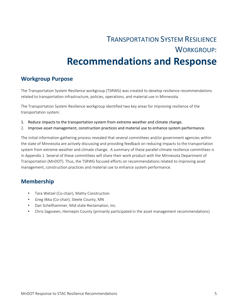## TRANSPORTATION SYSTEM RESILIENCE WORKGROUP: **Recommendations and Response**

## **Workgroup Purpose**

The Transportation System Resilience workgroup (TSRWG) was created to develop resilience recommendations related to transportation infrastructure, policies, operations, and material use in Minnesota.

The Transportation System Resilience workgroup identified two key areas for improving resilience of the transportation system:

- 1. Reduce impacts to the transportation system from extreme weather and climate change.
- 2. Improve asset management, construction practices and material use to enhance system performance.

The initial information-gathering process revealed that several committees and/or government agencies within the state of Minnesota are actively discussing and providing feedback on reducing impacts to the transportation system from extreme weather and climate change. A summary of these parallel climate resilience committees is in Appendix 1. Several of these committees will share their work product with the Minnesota Department of Transportation (MnDOT). Thus, the TSRWG focused efforts on recommendations related to improving asset management, construction practices and material use to enhance system performance.

## **Membership**

- Tara Wetzel (Co-chair), Mathy Construction
- Greg Ilkka (Co-chair), Steele County, MN
- Dan Schellhammer, Mid-state Reclamation, Inc.
- Chris Sagsveen, Hennepin County (primarily participated in the asset management recommendations)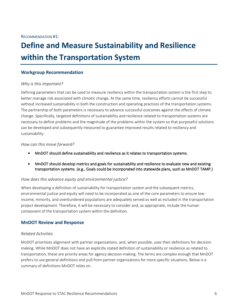## **Define and Measure Sustainability and Resilience within the Transportation System**

#### **Workgroup Recommendation**

#### *Why is this important?*

Defining parameters that can be used to measure resiliency within the transportation system is the first step to better manage risk associated with climatic change. At the same time, resiliency efforts cannot be successful without increased sustainability in both the construction and operating practices of the transportation systems. The partnership of both parameters is necessary to advance successful outcomes against the effects of climate change. Specifically, targeted definitions of sustainability and resilience related to transportation systems are necessary to define problems and the magnitude of the problems within the system so that purposeful solutions can be developed and subsequently measured to guarantee improved results related to resiliency and sustainability.

#### *How can this move forward?*

- MnDOT should define sustainability and resilience as it relates to transportation systems.
- MnDOT should develop metrics and goals for sustainability and resilience to evaluate new and existing transportation systems. (e.g., Goals could be incorporated into statewide plans, such as MnDOT TAMP.)

#### *How does this advance equity and environmental justice?*

When developing a definition of sustainability for transportation system and the subsequent metrics, environmental justice and equity will need to be incorporated as one of the core parameters to ensure lowincome, minority, and overburdened populations are adequately served as well as included in the transportation project development. Therefore, it will be necessary to consider and, as appropriate, include the human component of the transportation system within the definition.

### **MnDOT Review and Response**

#### *Related Activities*

MnDOT prioritizes alignment with partner organizations, and, when possible, uses their definitions for decisionmaking. While MnDOT does not have an explicitly stated definition of sustainability or resilience as related to transportation, these are priority areas for agency decision-making. The terms are complex enough that MnDOT prefers to use general definitions and pull from partner organizations for more specific situations. Below is a summary of definitions MnDOT relies on.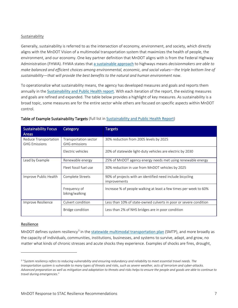#### Sustainability

Generally, sustainability is referred to as the intersection of economy, environment, and society, which directly aligns with the MnDOT Vision of a multimodal transportation system that maximizes the health of people, the environment, and our economy. One key partner definition that MnDOT aligns with is from the Federal Highway Administration (FHWA). FHWA states that [a sustainable approach](https://www.sustainablehighways.dot.gov/FHWA_Sustainability_Activities_June2014.aspx) to highways means *decisionmakers are able to make balanced and efficient choices among environmental, economic, and social values—the triple bottom line of sustainability—that will provide the best benefits to the natural and human environment now*.

To operationalize what sustainability means, the agency has developed measures and goals and reports them annually in the [Sustainability and Public Health report](http://www.dot.state.mn.us/sustainability/sustainability-reporting.html). With each iteration of the report, the existing measures and goals are refined and expanded. The table below provides a highlight of key measures. As sustainability is a broad topic, some measures are for the entire sector while others are focused on specific aspects within MnDOT control.

| <b>Sustainability Focus</b><br><b>Areas</b>   | <b>Category</b>                               | <b>Targets</b>                                                            |
|-----------------------------------------------|-----------------------------------------------|---------------------------------------------------------------------------|
| Reduce Transportation<br><b>GHG Emissions</b> | Transportation sector<br><b>GHG</b> emissions | 30% reduction from 2005 levels by 2025                                    |
|                                               | Electric vehicles                             | 20% of statewide light-duty vehicles are electric by 2030                 |
| Lead by Example                               | Renewable energy                              | 25% of MnDOT agency energy needs met using renewable energy               |
|                                               | Eleet fossil fuel use                         | 30% reduction in use from MnDOT vehicles by 2025                          |
| Improve Public Health                         | Complete Streets                              | 90% of projects with an identified need include bicycling<br>improvements |
|                                               | Frequency of<br>biking/walking                | lncrease % of people walking at least a few times per week to 60%         |
| Improve Resilience                            | Culvert condition                             | Less than 10% of state-owned culverts in poor or severe condition         |
|                                               | Bridge condition                              | Less than 2% of NHS bridges are in poor condition                         |

#### Table of Example Sustainability Targets (full list in [Sustainability and Public Health Report](http://www.dot.state.mn.us/sustainability/sustainability-reporting.html))

#### Resilience

MnDOT defines system resiliency<sup>[3](#page-6-0)</sup> in the [statewide multimodal transportation](https://www.minnesotago.org/final-plans/smtp-final-plan) plan (SMTP), and more broadly as the capacity of individuals, communities, institutions, businesses, and systems to survive, adapt, and grow, no matter what kinds of chronic stresses and acute shocks they experience. Examples of shocks are fires, drought,

<span id="page-6-0"></span><sup>3</sup> "*System resiliency refers to reducing vulnerability and ensuring redundancy and reliability to meet essential travel needs. The transportation system is vulnerable to many types of threats and risks, such as severe weather, acts of terrorism and cyber-attacks. Advanced preparation as well as mitigation and adaptation to threats and risks helps to ensure the people and goods are able to continue to travel during emergencies*."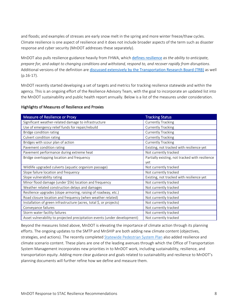and floods; and examples of stresses are early snow melt in the spring and more winter freeze/thaw cycles. Climate resilience is one aspect of resilience and it does not include broader aspects of the term such as disaster response and cyber security (MnDOT addresses these separately).

MnDOT also pulls resilience guidance heavily from FHWA, which [defines resilience](https://www.fhwa.dot.gov/specialfunding/er/191011.cfm) *as the ability to anticipate, prepare for, and adapt to changing conditions and withstand, respond to, and recover rapidly from disruptions*. Additional versions of the definition are [discussed extensively by the Transportation Research Bo](https://www.nap.edu/download/25166)ard (TRB) as well (p.16-17).

MnDOT recently started developing a set of targets and metrics for tracking resilience statewide and within the agency. This is an ongoing effort of the Resilience Advisory Team, with the goal to incorporate an updated list into the MnDOT sustainability and public health report annually. Below is a list of the measures under consideration.

| <b>Measure of Resilience or Proxy</b>                                     | <b>Tracking Status</b>                          |
|---------------------------------------------------------------------------|-------------------------------------------------|
| Significant weather-related damage to infrastructure                      | <b>Currently Tracking</b>                       |
| Use of emergency relief funds for repair/rebuild                          | <b>Currently Tracking</b>                       |
| Bridge condition rating                                                   | <b>Currently Tracking</b>                       |
| Culvert condition rating                                                  | <b>Currently Tracking</b>                       |
| Bridges with scour plan of action                                         | <b>Currently Tracking</b>                       |
| Pavement condition rating                                                 | Existing, not tracked with resilience yet       |
| Pavement performance during extreme heat                                  | Not currently tracked                           |
| Bridge overtopping location and frequency                                 | Partially existing, not tracked with resilience |
|                                                                           | yet                                             |
| Wildlife upgraded culverts (aquatic organism passage)                     | Not currently tracked                           |
| Slope failure location and frequency                                      | Not currently tracked                           |
| Slope vulnerability rating                                                | Existing, not tracked with resilience yet       |
| Minor flood damage (under \$5k) location and frequency                    | Not currently tracked                           |
| Weather related construction delays and damages                           | Not currently tracked                           |
| Resilience upgrades (slope armoring, raising of roadway, etc.)            | Not currently tracked                           |
| Road closure location and frequency (when weather related)                | Not currently tracked                           |
| Installation of green infrastructure (acres, total \$, or projects)       | Not currently tracked                           |
| Conveyance failures                                                       | Not currently tracked                           |
| Storm water facility failures                                             | Not currently tracked                           |
| Asset vulnerability to projected precipitation events (under development) | Not currently tracked                           |

#### Highlights of Measures of Resilience and Proxies

Beyond the measures listed above, MnDOT is elevating the importance of climate action through its planning efforts. The ongoing updates to the SMTP and MnSHIP are both adding new climate content (objectives, strategies, and actions). The recently completed [Statewide Pedestrian](https://www.minnesotawalks.org/) System Plan also added resilience and climate scenario content. These plans are one of the leading avenues through which the Office of Transportation System Management incorporates new priorities in to MnDOT work, including sustainability, resilience, and transportation equity. Adding more clear guidance and goals related to sustainability and resilience to MnDOT's planning documents will further refine how we define and measure them.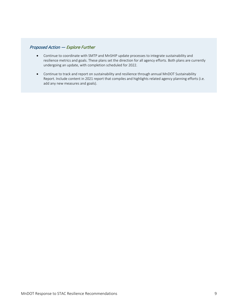### Proposed Action — Explore Further

- Continue to coordinate with SMTP and MnSHIP update processes to integrate sustainability and resilience metrics and goals. These plans set the direction for all agency efforts. Both plans are currently undergoing an update, with completion scheduled for 2022.
- Continue to track and report on sustainability and resilience through annual MnDOT Sustainability Report. Include content in 2021 report that compiles and highlights related agency planning efforts (i.e. add any new measures and goals).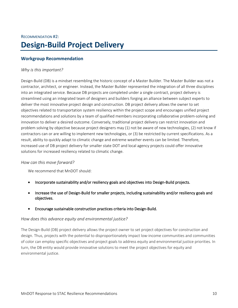## RECOMMENDATION #2: **Design-Build Project Delivery**

### **Workgroup Recommendation**

#### *Why is this important?*

Design-Build (DB) is a mindset resembling the historic concept of a Master Builder. The Master Builder was not a contractor, architect, or engineer. Instead, the Master Builder represented the integration of all three disciplines into an integrated service. Because DB projects are completed under a single contract, project delivery is streamlined using an integrated team of designers and builders forging an alliance between subject experts to deliver the most innovative project design and construction. DB project delivery allows the owner to set objectives related to transportation system resiliency within the project scope and encourages unified project recommendations and solutions by a team of qualified members incorporating collaborative problem-solving and innovation to deliver a desired outcome. Conversely, traditional project delivery can restrict innovation and problem solving by objective because project designers may (1) not be aware of new technologies, (2) not know if contractors can or are willing to implement new technologies, or (3) be restricted by current specifications. As a result, ability to quickly adapt to climatic change and extreme weather events can be limited. Therefore, increased use of DB project delivery for smaller state DOT and local agency projects could offer innovative solutions for increased resiliency related to climatic change.

#### *How can this move forward?*

We recommend that MnDOT should:

- Incorporate sustainability and/or resiliency goals and objectives into Design-Build projects.
- Increase the use of Design-Build for smaller projects, including sustainability and/or resiliency goals and objectives.
- Encourage sustainable construction practices criteria into Design-Build.

#### *How does this advance equity and environmental justice?*

The Design-Build (DB) project delivery allows the project owner to set project objectives for construction and design. Thus, projects with the potential to disproportionately impact low-income communities and communities of color can employ specific objectives and project goals to address equity and environmental justice priorities. In turn, the DB entity would provide innovative solutions to meet the project objectives for equity and environmental justice.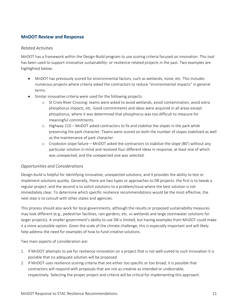## **MnDOT Review and Response**

#### *Related Activities*

MnDOT has a framework within the Design-Build program to use scoring criteria focused on innovation. This tool has been used to support innovative sustainability- or resilience-related projects in the past. Two examples are highlighted below:

- MnDOT has previously scored for environmental factors, such as wetlands, noise, etc. This includes numerous projects where criteria asked the contractors to reduce "environmental impacts" in general terms.
- Similar innovative criteria were used for the following projects:
	- o St Croix River Crossing: teams were asked to avoid wetlands, avoid contamination, avoid extra phosphorus impacts, etc. Good commitments and ideas were acquired in all areas except phosphorus, where it was determined that phosphorus was too difficult to measure for meaningful commitments.
	- o Highway 210 MnDOT asked contractors to fix and stabilize the slopes in the park while preserving the park character. Teams were scored on both the number of slopes stabilized as well as the maintenance of park character.
	- o Crookston slope failure MnDOT asked the contractors to stabilize the slope (80') without any particular solution in mind and received four different ideas in response, at least one of which was unexpected, and the unexpected one was selected.

#### *Opportunities and Considerations*

Design-build is helpful for identifying innovative, unexpected solutions, and it provides the ability to test or implement solutions quickly. Generally, there are two types or approaches to DB projects: the first is to tweak a regular project, and the second is to solicit solutions to a problem/issue where the best solution is not immediately clear. To determine which specific resilience recommendations would be the most effective, the next step is to consult with other states and agencies.

This process should also work for local governments, although the results or proposed sustainability measures may look different (e.g., pedestrian facilities, rain gardens, etc. vs wetlands and large stormwater solutions for larger projects). A smaller government's ability to use DB is limited, but having examples from MnDOT could make it a more accessible option. Given the scale of the climate challenge, this is especially important and will likely help address the need for examples of how to fund creative solutions.

Two main aspects of consideration are:

- 1. If MnDOT attempts to ask for resilience innovation on a project that is not well-suited to such innovation it is possible that no adequate solution will be proposed.
- 2. If MnDOT uses resilience scoring criteria that are either too specific or too broad, it is possible that contractors will respond with proposals that are not as creative as intended or undesirable, respectively. Selecting the proper project and criteria will be critical for implementing this approach.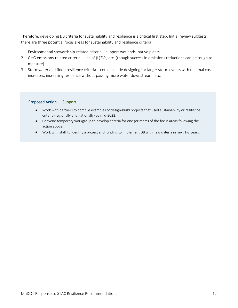Therefore, developing DB criteria for sustainability and resilience is a critical first step. Initial review suggests there are three potential focus areas for sustainability and resilience criteria:

- 1. Environmental stewardship-related criteria support wetlands, native plants
- 2. GHG emissions-related criteria use of (L)EVs, etc. (though success in emissions reductions can be tough to measure)
- 3. Stormwater and flood resilience criteria could include designing for larger storm events with minimal cost increases, increasing resilience without passing more water downstream, etc.

#### Proposed Action — Support

- Work with partners to compile examples of design-build projects that used sustainability or resilience criteria (regionally and nationally) by mid-2022.
- Convene temporary workgroup to develop criteria for one (or more) of the focus areas following the action above.
- Work with staff to identify a project and funding to implement DB with new criteria in next 1-2 years.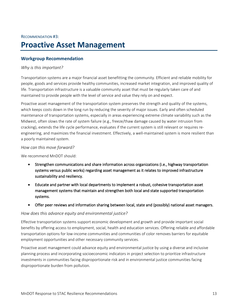## RECOMMENDATION #3: **Proactive Asset Management**

### **Workgroup Recommendation**

#### *Why is this important?*

Transportation systems are a major financial asset benefitting the community. Efficient and reliable mobility for people, goods and services provide healthy communities, increased market integration, and improved quality of life. Transportation infrastructure is a valuable community asset that must be regularly taken care of and maintained to provide people with the level of service and value they rely on and expect.

Proactive asset management of the transportation system preserves the strength and quality of the systems, which keeps costs down in the long run by reducing the severity of major issues. Early and often scheduled maintenance of transportation systems, especially in areas experiencing extreme climate variability such as the Midwest, often slows the rate of system failure (e.g., freeze/thaw damage caused by water intrusion from cracking), extends the life cycle performance, evaluates if the current system is still relevant or requires reengineering, and maximizes the financial investment. Effectively, a well-maintained system is more resilient than a poorly maintained system.

#### *How can this move forward?*

We recommend MnDOT should:

- Strengthen communications and share information across organizations (i.e., highway transportation systems versus public works) regarding asset management as it relates to improved infrastructure sustainability and resiliency.
- Educate and partner with local departments to implement a robust, cohesive transportation asset management systems that maintain and strengthen both local and state supported transportation systems.
- Offer peer reviews and information sharing between local, state and (possibly) national asset managers.

#### *How does this advance equity and environmental justice?*

Effective transportation systems support economic development and growth and provide important social benefits by offering access to employment, social, health and education services. Offering reliable and affordable transportation options for low-income communities and communities of color removes barriers for equitable employment opportunities and other necessary community services.

Proactive asset management could advance equity and environmental justice by using a diverse and inclusive planning process and incorporating socioeconomic indicators in project selection to prioritize infrastructure investments in communities facing disproportionate risk and in environmental justice communities facing disproportionate burden from pollution.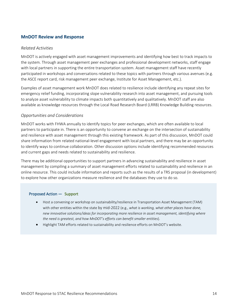## **MnDOT Review and Response**

#### *Related Activities*

MnDOT is actively engaged with asset management improvements and identifying how best to track impacts to the system. Through asset management peer exchanges and professional development networks, staff engage with local partners in supporting the entire transportation system. Asset management staff have recently participated in workshops and conversations related to these topics with partners through various avenues (e.g. the ASCE report card, risk management peer exchange, Institute for Asset Management, etc.).

Examples of asset management work MnDOT does related to resilience include identifying any repeat sites for emergency relief funding, incorporating slope vulnerability research into asset management, and pursuing tools to analyze asset vulnerability to climate impacts both quantitatively and qualitatively. MnDOT staff are also available as knowledge resources through the Local Road Research Board (LRRB) Knowledge Building resources.

#### *Opportunities and Considerations*

MnDOT works with FHWA annually to identify topics for peer exchanges, which are often available to local partners to participate in. There is an opportunity to convene an exchange on the intersection of sustainability and resilience with asset management through this existing framework. As part of this discussion, MnDOT could share information from related national-level engagement with local partners, and there may be an opportunity to identify ways to continue collaboration. Other discussion options include identifying recommended resources and current gaps and needs related to sustainability and resilience.

There may be additional opportunities to support partners in advancing sustainability and resilience in asset management by compiling a summary of asset management efforts related to sustainability and resilience in an online resource. This could include information and reports such as the results of a TRS proposal (in development) to explore how other organizations measure resilience and the databases they use to do so.

#### Proposed Action — Support

- Host a convening or workshop on sustainability/resilience in Transportation Asset Management (TAM) with other entities within the state by mid-2022 (e.g., *what is working, what other places have done, new innovative solutions/ideas for incorporating more resilience in asset management, identifying where the need is greatest, and how MnDOT's efforts can benefit smaller entities*).
- Highlight TAM efforts related to sustainability and resilience efforts on MnDOT's website.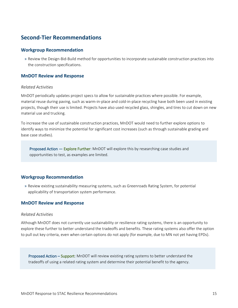## **Second-Tier Recommendations**

#### **Workgroup Recommendation**

» Review the Design-Bid-Build method for opportunities to incorporate sustainable construction practices into the construction specifications.

#### **MnDOT Review and Response**

#### *Related Activities*

MnDOT periodically updates project specs to allow for sustainable practices where possible. For example, material reuse during paving, such as warm-in-place and cold-in-place recycling have both been used in existing projects, though their use is limited. Projects have also used recycled glass, shingles, and tires to cut down on new material use and trucking.

To increase the use of sustainable construction practices, MnDOT would need to further explore options to identify ways to minimize the potential for significant cost increases (such as through sustainable grading and base case studies).

Proposed Action — Explore Further: MnDOT will explore this by researching case studies and opportunities to test, as examples are limited.

#### **Workgroup Recommendation**

» Review existing sustainability measuring systems, such as Greenroads Rating System, for potential applicability of transportation system performance.

#### **MnDOT Review and Response**

#### *Related Activities*

Although MnDOT does not currently use sustainability or resilience rating systems, there is an opportunity to explore these further to better understand the tradeoffs and benefits. These rating systems also offer the option to pull out key criteria, even when certain options do not apply (for example, due to MN not yet having EPDs).

Proposed Action – Support: MnDOT will review existing rating systems to better understand the tradeoffs of using a related rating system and determine their potential benefit to the agency.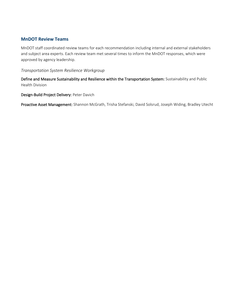## **MnDOT Review Teams**

MnDOT staff coordinated review teams for each recommendation including internal and external stakeholders and subject area experts. Each review team met several times to inform the MnDOT responses, which were approved by agency leadership.

#### *Transportation System Resilience Workgroup*

Define and Measure Sustainability and Resilience within the Transportation System: Sustainability and Public Health Division

#### Design-Build Project Delivery: Peter Davich

Proactive Asset Management: Shannon McGrath, Trisha Stefanski, David Solsrud, Joseph Widing, Bradley Utecht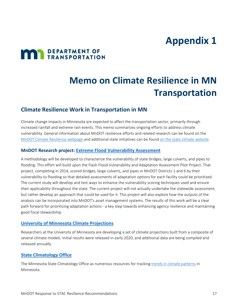## **Appendix 1**

# **MAN** DEPARTMENT OF

## **Memo on Climate Resilience in MN Transportation**

## **Climate Resilience Work in Transportation in MN**

Climate change impacts in Minnesota are expected to affect the transportation sector, primarily through increased rainfall and extreme rain events. This memo summarizes ongoing efforts to address climate vulnerability. General information about MnDOT resilience efforts and related research can be found on the [MnDOT Climate Resilience webpage](http://www.dot.state.mn.us/sustainability/climate-resilience.html) and additional state initiatives can be foun[d on the state climate website.](https://climate.state.mn.us/)

### **MnDOT Research project: [Extreme Flood Vulnerability Assessment](https://researchprojects.dot.state.mn.us/projectpages/pages/projectDetails.jsf?id=21038&type=CONTRACT&jftfdi=&jffi=projectDetails%3Fid%3D21038%26type%3DCONTRACT)**

A methodology will be developed to characterize the vulnerability of state bridges, large culverts, and pipes to flooding. This effort will build upon the Flash Flood Vulnerability and Adaptation Assessment Pilot Project. That project, completing in 2014, scored bridges, large culverts, and pipes in MnDOT Districts 1 and 6 by their vulnerability to flooding so that detailed assessments of adaptation options for each facility could be prioritized. The current study will develop and test ways to enhance the vulnerability scoring techniques used and ensure their applicability throughout the state. The current project will not actually undertake the statewide assessment, but rather develop an approach that could be used for it. This project will also explore how the outputs of the analysis can be incorporated into MnDOT's asset management systems. The results of this work will be a clear path forward for prioritizing adaptation actions - a key step towards enhancing agency resilience and maintaining good fiscal stewardship.

#### **[University of Minnesota Climate Projections](https://www.swac.umn.edu/research/climate-and-climate-change)**

Researchers at the University of Minnesota are developing a set of climate projections built from a composite of several climate models. Initial results were released in early 2020, and additional data are being compiled and released annually.

### **[State Climatology Office](https://climateapps.dnr.state.mn.us/index.htm)**

The Minnesota State Climatology Office as numerous resources for tracking [trends in climate patterns](https://www.dnr.state.mn.us/climate/climate_change_info/index.html) in Minnesota.